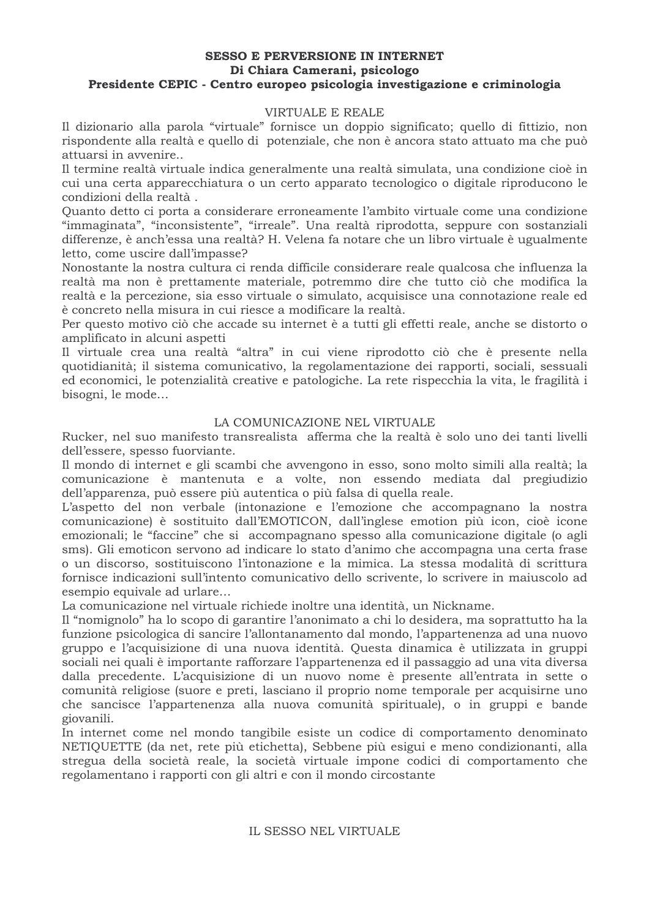### **SESSO E PERVERSIONE IN INTERNET** Di Chiara Camerani, psicologo Presidente CEPIC - Centro europeo psicologia investigazione e criminologia

## VIRTUALE E REALE

Il dizionario alla parola "virtuale" fornisce un doppio significato; quello di fittizio, non rispondente alla realtà e quello di potenziale, che non è ancora stato attuato ma che può attuarsi in avvenire..

Il termine realtà virtuale indica generalmente una realtà simulata, una condizione cioè in cui una certa apparecchiatura o un certo apparato tecnologico o digitale riproducono le condizioni della realtà.

Quanto detto ci porta a considerare erroneamente l'ambito virtuale come una condizione "immaginata", "inconsistente", "irreale". Una realtà riprodotta, seppure con sostanziali differenze, è anch'essa una realtà? H. Velena fa notare che un libro virtuale è ugualmente letto, come uscire dall'impasse?

Nonostante la nostra cultura ci renda difficile considerare reale qualcosa che influenza la realtà ma non è prettamente materiale, potremmo dire che tutto ciò che modifica la realtà e la percezione, sia esso virtuale o simulato, acquisisce una connotazione reale ed è concreto nella misura in cui riesce a modificare la realtà.

Per questo motivo ciò che accade su internet è a tutti gli effetti reale, anche se distorto o amplificato in alcuni aspetti

Il virtuale crea una realtà "altra" in cui viene riprodotto ciò che è presente nella quotidianità; il sistema comunicativo, la regolamentazione dei rapporti, sociali, sessuali ed economici, le potenzialità creative e patologiche. La rete rispecchia la vita, le fragilità i bisogni, le mode...

## LA COMUNICAZIONE NEL VIRTUALE

Rucker, nel suo manifesto transrealista afferma che la realtà è solo uno dei tanti livelli dell'essere, spesso fuorviante.

Il mondo di internet e gli scambi che avvengono in esso, sono molto simili alla realtà; la comunicazione è mantenuta e a volte, non essendo mediata dal pregiudizio dell'apparenza, può essere più autentica o più falsa di quella reale.

L'aspetto del non verbale (intonazione e l'emozione che accompagnano la nostra comunicazione) è sostituito dall'EMOTICON, dall'inglese emotion più icon, cioè icone emozionali: le "faccine" che si accompagnano spesso alla comunicazione digitale (o agli sms). Gli emoticon servono ad indicare lo stato d'animo che accompagna una certa frase o un discorso, sostituiscono l'intonazione e la mimica. La stessa modalità di scrittura fornisce indicazioni sull'intento comunicativo dello scrivente, lo scrivere in maiuscolo ad esempio equivale ad urlare...

La comunicazione nel virtuale richiede inoltre una identità, un Nickname.

Il "nomignolo" ha lo scopo di garantire l'anonimato a chi lo desidera, ma soprattutto ha la funzione psicologica di sancire l'allontanamento dal mondo, l'appartenenza ad una nuovo gruppo e l'acquisizione di una nuova identità. Questa dinamica è utilizzata in gruppi sociali nei quali è importante rafforzare l'appartenenza ed il passaggio ad una vita diversa dalla precedente. L'acquisizione di un nuovo nome è presente all'entrata in sette o comunità religiose (suore e preti, lasciano il proprio nome temporale per acquisirne uno che sancisce l'appartenenza alla nuova comunità spirituale), o in gruppi e bande giovanili.

In internet come nel mondo tangibile esiste un codice di comportamento denominato NETIQUETTE (da net, rete più etichetta), Sebbene più esigui e meno condizionanti, alla stregua della società reale, la società virtuale impone codici di comportamento che regolamentano i rapporti con gli altri e con il mondo circostante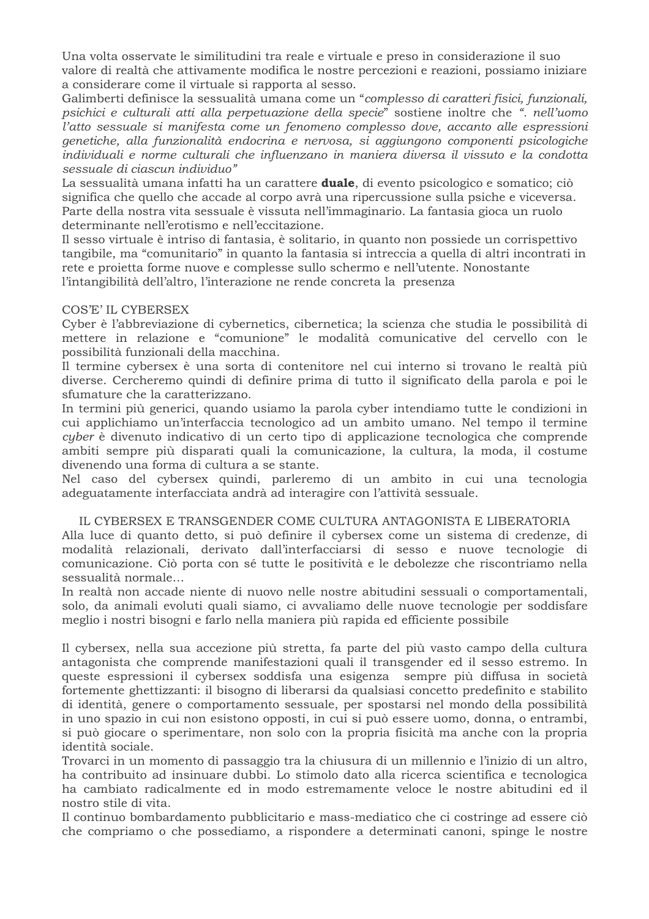Una volta osservate le similitudini tra reale e virtuale e preso in considerazione il suo valore di realtà che attivamente modifica le nostre percezioni e reazioni, possiamo iniziare a considerare come il virtuale si rapporta al sesso.

Galimberti definisce la sessualità umana come un "complesso di caratteri fisici, funzionali, psichici e culturali atti alla perpetuazione della specie" sostiene inoltre che ". nell'uomo l'atto sessuale si manifesta come un fenomeno complesso dove, accanto alle espressioni genetiche, alla funzionalità endocrina e nervosa, si aggiungono componenti psicologiche individuali e norme culturali che influenzano in maniera diversa il vissuto e la condotta sessuale di ciascun individuo"

La sessualità umana infatti ha un carattere **duale**, di evento psicologico e somatico; ciò significa che quello che accade al corpo avrà una ripercussione sulla psiche e viceversa. Parte della nostra vita sessuale è vissuta nell'immaginario. La fantasia gioca un ruolo determinante nell'erotismo e nell'eccitazione.

Il sesso virtuale è intriso di fantasia, è solitario, in quanto non possiede un corrispettivo tangibile, ma "comunitario" in quanto la fantasia si intreccia a quella di altri incontrati in rete e proietta forme nuove e complesse sullo schermo e nell'utente. Nonostante l'intangibilità dell'altro, l'interazione ne rende concreta la presenza

## COS'E' IL CYBERSEX

Cyber è l'abbreviazione di cybernetics, cibernetica; la scienza che studia le possibilità di mettere in relazione e "comunione" le modalità comunicative del cervello con le possibilità funzionali della macchina.

Il termine cybersex è una sorta di contenitore nel cui interno si trovano le realtà più diverse. Cercheremo quindi di definire prima di tutto il significato della parola e poi le sfumature che la caratterizzano.

In termini più generici, quando usiamo la parola cyber intendiamo tutte le condizioni in cui applichiamo un'interfaccia tecnologico ad un ambito umano. Nel tempo il termine cuber è divenuto indicativo di un certo tipo di applicazione tecnologica che comprende ambiti sempre più disparati quali la comunicazione, la cultura, la moda, il costume divenendo una forma di cultura a se stante.

Nel caso del cybersex quindi, parleremo di un ambito in cui una tecnologia adeguatamente interfacciata andrà ad interagire con l'attività sessuale.

# IL CYBERSEX E TRANSGENDER COME CULTURA ANTAGONISTA E LIBERATORIA

Alla luce di quanto detto, si può definire il cybersex come un sistema di credenze, di modalità relazionali, derivato dall'interfacciarsi di sesso e nuove tecnologie di comunicazione. Ciò porta con sé tutte le positività e le debolezze che riscontriamo nella sessualità normale...

In realtà non accade niente di nuovo nelle nostre abitudini sessuali o comportamentali, solo, da animali evoluti quali siamo, ci avvaliamo delle nuove tecnologie per soddisfare meglio i nostri bisogni e farlo nella maniera più rapida ed efficiente possibile

Il cybersex, nella sua accezione più stretta, fa parte del più vasto campo della cultura antagonista che comprende manifestazioni quali il transgender ed il sesso estremo. In queste espressioni il cybersex soddisfa una esigenza sempre più diffusa in società fortemente ghettizzanti: il bisogno di liberarsi da qualsiasi concetto predefinito e stabilito di identità, genere o comportamento sessuale, per spostarsi nel mondo della possibilità in uno spazio in cui non esistono opposti, in cui si può essere uomo, donna, o entrambi, si può giocare o sperimentare, non solo con la propria fisicità ma anche con la propria identità sociale.

Trovarci in un momento di passaggio tra la chiusura di un millennio e l'inizio di un altro, ha contribuito ad insinuare dubbi. Lo stimolo dato alla ricerca scientifica e tecnologica ha cambiato radicalmente ed in modo estremamente veloce le nostre abitudini ed il nostro stile di vita.

Il continuo bombardamento pubblicitario e mass-mediatico che ci costringe ad essere ciò che compriamo o che possediamo, a rispondere a determinati canoni, spinge le nostre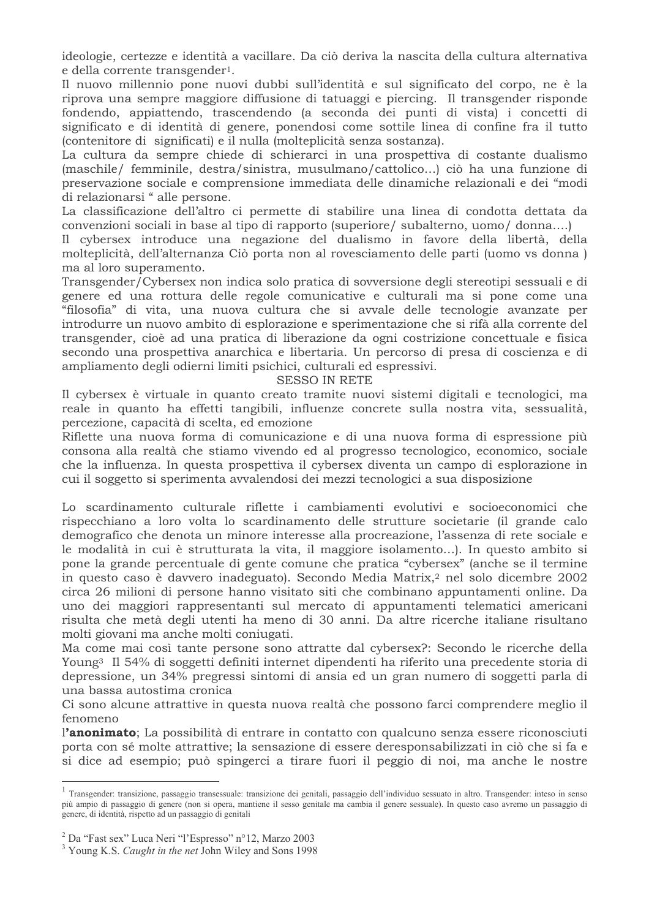ideologie, certezze e identità a vacillare. Da ciò deriva la nascita della cultura alternativa e della corrente transgender<sup>1</sup>.

Il nuovo millennio pone nuovi dubbi sull'identità e sul significato del corpo, ne è la riprova una sempre maggiore diffusione di tatuaggi e piercing. Il transgender risponde fondendo, appiattendo, trascendendo (a seconda dei punti di vista) i concetti di significato e di identità di genere, ponendosi come sottile linea di confine fra il tutto (contenitore di significati) e il nulla (molteplicità senza sostanza).

La cultura da sempre chiede di schierarci in una prospettiva di costante dualismo (maschile/ femminile, destra/sinistra, musulmano/cattolico...) ciò ha una funzione di preservazione sociale e comprensione immediata delle dinamiche relazionali e dei "modi di relazionarsi " alle persone.

La classificazione dell'altro ci permette di stabilire una linea di condotta dettata da convenzioni sociali in base al tipo di rapporto (superiore / subalterno, uomo / donna...)

Il cybersex introduce una negazione del dualismo in favore della libertà, della molteplicità, dell'alternanza Ciò porta non al rovesciamento delle parti (uomo vs donna) ma al loro superamento.

Transgender/Cybersex non indica solo pratica di sovversione degli stereotipi sessuali e di genere ed una rottura delle regole comunicative e culturali ma si pone come una "filosofia" di vita, una nuova cultura che si avvale delle tecnologie avanzate per introdurre un nuovo ambito di esplorazione e sperimentazione che si rifà alla corrente del transgender, cioè ad una pratica di liberazione da ogni costrizione concettuale e fisica secondo una prospettiva anarchica e libertaria. Un percorso di presa di coscienza e di ampliamento degli odierni limiti psichici, culturali ed espressivi.

#### **SESSO IN RETE**

Il cybersex è virtuale in quanto creato tramite nuovi sistemi digitali e tecnologici, ma reale in quanto ha effetti tangibili, influenze concrete sulla nostra vita, sessualità, percezione, capacità di scelta, ed emozione

Riflette una nuova forma di comunicazione e di una nuova forma di espressione più consona alla realtà che stiamo vivendo ed al progresso tecnologico, economico, sociale che la influenza. In questa prospettiva il cybersex diventa un campo di esplorazione in cui il soggetto si sperimenta avvalendosi dei mezzi tecnologici a sua disposizione

Lo scardinamento culturale riflette i cambiamenti evolutivi e socioeconomici che rispecchiano a loro volta lo scardinamento delle strutture societarie (il grande calo demografico che denota un minore interesse alla procreazione. l'assenza di rete sociale e le modalità in cui è strutturata la vita, il maggiore isolamento...). In questo ambito si pone la grande percentuale di gente comune che pratica "cybersex" (anche se il termine in questo caso è davvero inadeguato). Secondo Media Matrix,<sup>2</sup> nel solo dicembre 2002 circa 26 milioni di persone hanno visitato siti che combinano appuntamenti online. Da uno dei maggiori rappresentanti sul mercato di appuntamenti telematici americani risulta che metà degli utenti ha meno di 30 anni. Da altre ricerche italiane risultano molti giovani ma anche molti coniugati.

Ma come mai così tante persone sono attratte dal cybersex?: Secondo le ricerche della Young<sup>3</sup> Il 54% di soggetti definiti internet dipendenti ha riferito una precedente storia di depressione, un 34% pregressi sintomi di ansia ed un gran numero di soggetti parla di una bassa autostima cronica

Ci sono alcune attrattive in questa nuova realtà che possono farci comprendere meglio il fenomeno

l'anonimato; La possibilità di entrare in contatto con qualcuno senza essere riconosciuti porta con sé molte attrattive; la sensazione di essere deresponsabilizzati in ciò che si fa e si dice ad esempio; può spingerci a tirare fuori il peggio di noi, ma anche le nostre

<sup>&</sup>lt;sup>1</sup> Transgender: transizione, passaggio transessuale: transizione dei genitali, passaggio dell'individuo sessuato in altro. Transgender: inteso in senso più ampio di passaggio di genere (non si opera, mantiene il sesso genitale ma cambia il genere sessuale). In questo caso avremo un passaggio di genere, di identità, rispetto ad un passaggio di genitali

<sup>&</sup>lt;sup>2</sup> Da "Fast sex" Luca Neri "l'Espresso" n°12, Marzo 2003

<sup>&</sup>lt;sup>3</sup> Young K.S. *Caught in the net John Wiley and Sons 1998*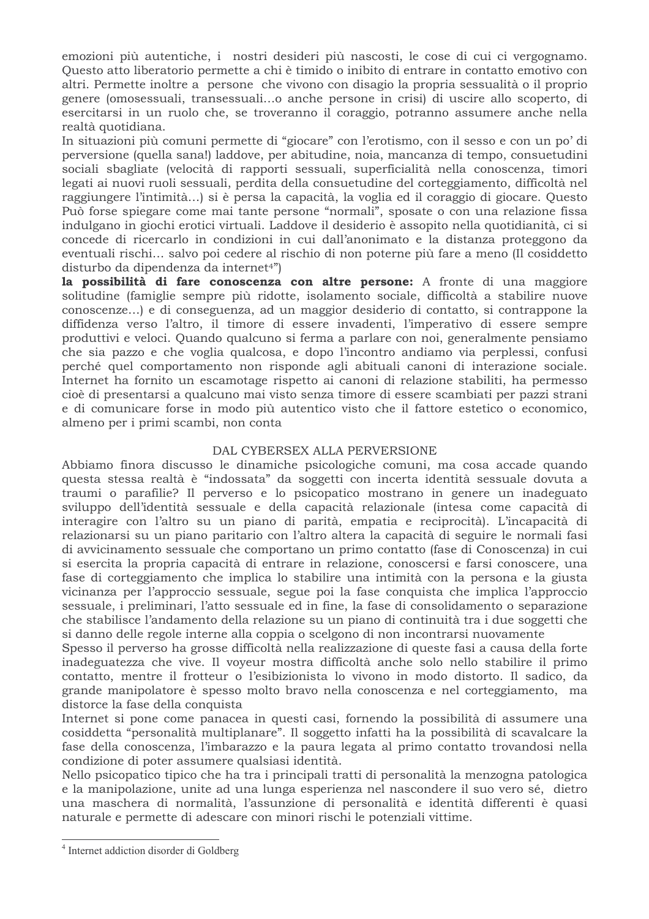emozioni più autentiche, i nostri desideri più nascosti, le cose di cui ci vergognamo. Questo atto liberatorio permette a chi è timido o inibito di entrare in contatto emotivo con altri. Permette inoltre a persone che vivono con disagio la propria sessualità o il proprio genere (omosessuali, transessuali...o anche persone in crisi) di uscire allo scoperto, di esercitarsi in un ruolo che, se troveranno il coraggio, potranno assumere anche nella realtà quotidiana.

In situazioni più comuni permette di "giocare" con l'erotismo, con il sesso e con un po' di perversione (quella sana!) laddove, per abitudine, noia, mancanza di tempo, consuetudini sociali sbagliate (velocità di rapporti sessuali, superficialità nella conoscenza, timori legati ai nuovi ruoli sessuali, perdita della consuetudine del corteggiamento, difficoltà nel raggiungere l'intimità...) si è persa la capacità, la voglia ed il coraggio di giocare. Questo Può forse spiegare come mai tante persone "normali", sposate o con una relazione fissa indulgano in giochi erotici virtuali. Laddove il desiderio è assopito nella quotidianità, ci si concede di ricercarlo in condizioni in cui dall'anonimato e la distanza proteggono da eventuali rischi... salvo poi cedere al rischio di non poterne più fare a meno (Il cosiddetto disturbo da dipendenza da internet<sup>4"</sup>)

la possibilità di fare conoscenza con altre persone: A fronte di una maggiore solitudine (famiglie sempre più ridotte, isolamento sociale, difficoltà a stabilire nuove conoscenze...) e di conseguenza, ad un maggior desiderio di contatto, si contrappone la diffidenza verso l'altro, il timore di essere invadenti, l'imperativo di essere sempre produttivi e veloci. Quando qualcuno si ferma a parlare con noi, generalmente pensiamo che sia pazzo e che voglia qualcosa, e dopo l'incontro andiamo via perplessi, confusi perché quel comportamento non risponde agli abituali canoni di interazione sociale. Internet ha fornito un escamotage rispetto ai canoni di relazione stabiliti, ha permesso cioè di presentarsi a qualcuno mai visto senza timore di essere scambiati per pazzi strani e di comunicare forse in modo più autentico visto che il fattore estetico o economico, almeno per i primi scambi, non conta

## DAL CYBERSEX ALLA PERVERSIONE

Abbiamo finora discusso le dinamiche psicologiche comuni, ma cosa accade quando questa stessa realtà è "indossata" da soggetti con incerta identità sessuale dovuta a traumi o parafilie? Il perverso e lo psicopatico mostrano in genere un inadeguato sviluppo dell'identità sessuale e della capacità relazionale (intesa come capacità di interagire con l'altro su un piano di parità, empatia e reciprocità). L'incapacità di relazionarsi su un piano paritario con l'altro altera la capacità di seguire le normali fasi di avvicinamento sessuale che comportano un primo contatto (fase di Conoscenza) in cui si esercita la propria capacità di entrare in relazione, conoscersi e farsi conoscere, una fase di corteggiamento che implica lo stabilire una intimità con la persona e la giusta vicinanza per l'approccio sessuale, segue poi la fase conquista che implica l'approccio sessuale, i preliminari, l'atto sessuale ed in fine, la fase di consolidamento o separazione che stabilisce l'andamento della relazione su un piano di continuità tra i due soggetti che si danno delle regole interne alla coppia o scelgono di non incontrarsi nuovamente

Spesso il perverso ha grosse difficoltà nella realizzazione di queste fasi a causa della forte inadeguatezza che vive. Il voyeur mostra difficoltà anche solo nello stabilire il primo contatto, mentre il frotteur o l'esibizionista lo vivono in modo distorto. Il sadico, da grande manipolatore è spesso molto bravo nella conoscenza e nel corteggiamento, ma distorce la fase della conquista

Internet si pone come panacea in questi casi, fornendo la possibilità di assumere una cosiddetta "personalità multiplanare". Il soggetto infatti ha la possibilità di scavalcare la fase della conoscenza, l'imbarazzo e la paura legata al primo contatto trovandosi nella condizione di poter assumere qualsiasi identità.

Nello psicopatico tipico che ha tra i principali tratti di personalità la menzogna patologica e la manipolazione, unite ad una lunga esperienza nel nascondere il suo vero sé, dietro una maschera di normalità, l'assunzione di personalità e identità differenti è quasi naturale e permette di adescare con minori rischi le potenziali vittime.

<sup>&</sup>lt;sup>4</sup> Internet addiction disorder di Goldberg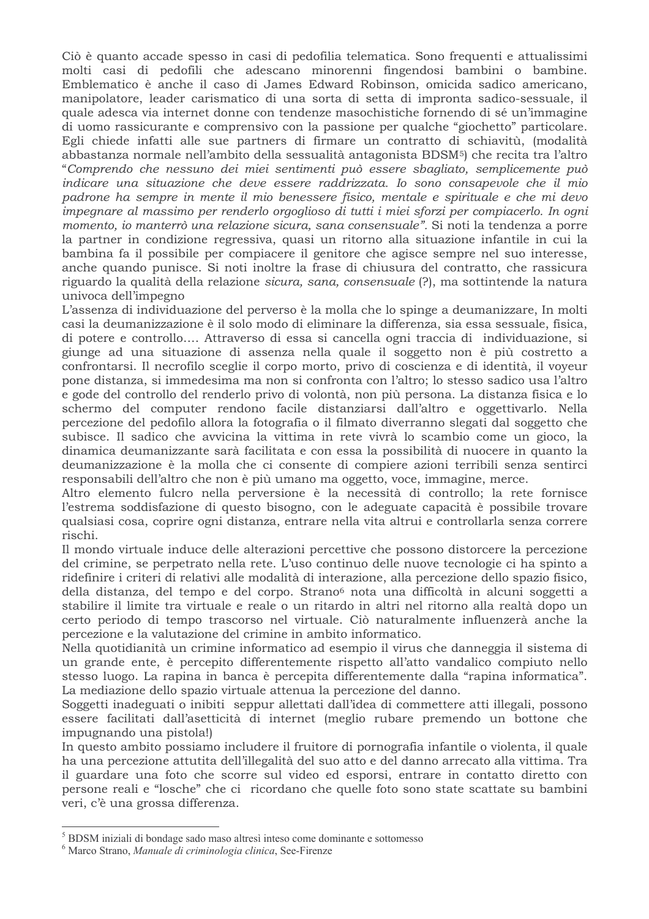Ciò è quanto accade spesso in casi di pedofilia telematica. Sono frequenti e attualissimi molti casi di pedofili che adescano minorenni fingendosi bambini o bambine. Emblematico è anche il caso di James Edward Robinson, omicida sadico americano, manipolatore, leader carismatico di una sorta di setta di impronta sadico-sessuale, il quale adesca via internet donne con tendenze masochistiche fornendo di sé un'immagine di uomo rassicurante e comprensivo con la passione per qualche "giochetto" particolare. Egli chiede infatti alle sue partners di firmare un contratto di schiavitù, (modalità abbastanza normale nell'ambito della sessualità antagonista BDSM<sup>5</sup>) che recita tra l'altro "Comprendo che nessuno dei miei sentimenti può essere sbagliato, semplicemente può indicare una situazione che deve essere raddrizzata. Io sono consapevole che il mio padrone ha sempre in mente il mio benessere fisico, mentale e spirituale e che mi devo impegnare al massimo per renderlo orgoglioso di tutti i miei sforzi per compiacerlo. In ogni momento, io manterrò una relazione sicura, sana consensuale". Si noti la tendenza a porre la partner in condizione regressiva, quasi un ritorno alla situazione infantile in cui la bambina fa il possibile per compiacere il genitore che agisce sempre nel suo interesse, anche quando punisce. Si noti inoltre la frase di chiusura del contratto, che rassicura riguardo la qualità della relazione sicura, sana, consensuale (?), ma sottintende la natura univoca dell'impegno

L'assenza di individuazione del perverso è la molla che lo spinge a deumanizzare, In molti casi la deumanizzazione è il solo modo di eliminare la differenza, sia essa sessuale, fisica, di potere e controllo.... Attraverso di essa si cancella ogni traccia di individuazione, si giunge ad una situazione di assenza nella quale il soggetto non è più costretto a confrontarsi. Il necrofilo sceglie il corpo morto, privo di coscienza e di identità, il voyeur pone distanza, si immedesima ma non si confronta con l'altro; lo stesso sadico usa l'altro e gode del controllo del renderlo privo di volontà, non più persona. La distanza fisica e lo schermo del computer rendono facile distanziarsi dall'altro e oggettivarlo. Nella percezione del pedofilo allora la fotografia o il filmato diverranno slegati dal soggetto che subisce. Il sadico che avvicina la vittima in rete vivrà lo scambio come un gioco, la dinamica deumanizzante sarà facilitata e con essa la possibilità di nuocere in quanto la deumanizzazione è la molla che ci consente di compiere azioni terribili senza sentirci responsabili dell'altro che non è più umano ma oggetto, voce, immagine, merce.

Altro elemento fulcro nella perversione è la necessità di controllo; la rete fornisce l'estrema soddisfazione di questo bisogno, con le adeguate capacità è possibile trovare qualsiasi cosa, coprire ogni distanza, entrare nella vita altrui e controllarla senza correre rischi.

Il mondo virtuale induce delle alterazioni percettive che possono distorcere la percezione del crimine, se perpetrato nella rete. L'uso continuo delle nuove tecnologie ci ha spinto a ridefinire i criteri di relativi alle modalità di interazione, alla percezione dello spazio fisico, della distanza, del tempo e del corpo. Strano<sup>6</sup> nota una difficoltà in alcuni soggetti a stabilire il limite tra virtuale e reale o un ritardo in altri nel ritorno alla realtà dopo un certo periodo di tempo trascorso nel virtuale. Ciò naturalmente influenzerà anche la percezione e la valutazione del crimine in ambito informatico.

Nella quotidianità un crimine informatico ad esempio il virus che danneggia il sistema di un grande ente, è percepito differentemente rispetto all'atto vandalico compiuto nello stesso luogo. La rapina in banca è percepita differentemente dalla "rapina informatica". La mediazione dello spazio virtuale attenua la percezione del danno.

Soggetti inadeguati o inibiti seppur allettati dall'idea di commettere atti illegali, possono essere facilitati dall'asetticità di internet (meglio rubare premendo un bottone che impugnando una pistola!)

In questo ambito possiamo includere il fruitore di pornografia infantile o violenta, il quale ha una percezione attutita dell'illegalità del suo atto e del danno arrecato alla vittima. Tra il guardare una foto che scorre sul video ed esporsi, entrare in contatto diretto con persone reali e "losche" che ci ricordano che quelle foto sono state scattate su bambini veri, c'è una grossa differenza.

<sup>&</sup>lt;sup>5</sup> BDSM iniziali di bondage sado maso altresì inteso come dominante e sottomesso

<sup>&</sup>lt;sup>6</sup> Marco Strano, Manuale di criminologia clinica, See-Firenze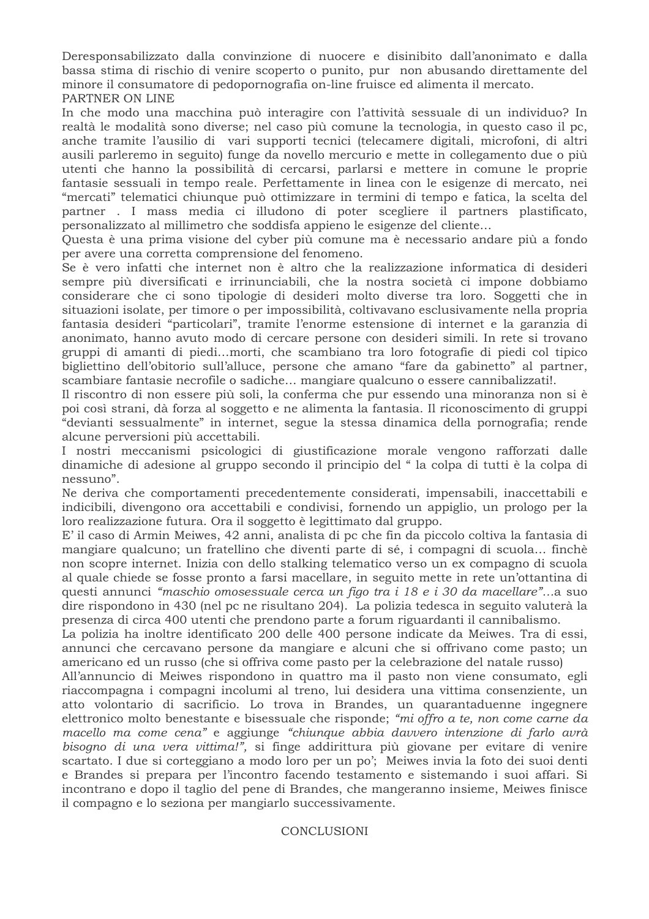Deresponsabilizzato dalla convinzione di nuocere e disinibito dall'anonimato e dalla bassa stima di rischio di venire scoperto o punito, pur non abusando direttamente del minore il consumatore di pedopornografia on-line fruisce ed alimenta il mercato. PARTNER ON LINE

In che modo una macchina può interagire con l'attività sessuale di un individuo? In realtà le modalità sono diverse; nel caso più comune la tecnologia, in questo caso il pc, anche tramite l'ausilio di vari supporti tecnici (telecamere digitali, microfoni, di altri ausili parleremo in seguito) funge da novello mercurio e mette in collegamento due o più utenti che hanno la possibilità di cercarsi, parlarsi e mettere in comune le proprie fantasie sessuali in tempo reale. Perfettamente in linea con le esigenze di mercato, nei "mercati" telematici chiunque può ottimizzare in termini di tempo e fatica, la scelta del partner. I mass media ci illudono di poter scegliere il partners plastificato, personalizzato al millimetro che soddisfa appieno le esigenze del cliente...

Questa è una prima visione del cyber più comune ma è necessario andare più a fondo per avere una corretta comprensione del fenomeno.

Se è vero infatti che internet non è altro che la realizzazione informatica di desideri sempre più diversificati e irrinunciabili, che la nostra società ci impone dobbiamo considerare che ci sono tipologie di desideri molto diverse tra loro. Soggetti che in situazioni isolate, per timore o per impossibilità, coltivavano esclusivamente nella propria fantasia desideri "particolari", tramite l'enorme estensione di internet e la garanzia di anonimato, hanno avuto modo di cercare persone con desideri simili. In rete si trovano gruppi di amanti di piedi...morti, che scambiano tra loro fotografie di piedi col tipico bigliettino dell'obitorio sull'alluce, persone che amano "fare da gabinetto" al partner, scambiare fantasie necrofile o sadiche... mangiare qualcuno o essere cannibalizzati!.

Il riscontro di non essere più soli, la conferma che pur essendo una minoranza non si è poi così strani, dà forza al soggetto e ne alimenta la fantasia. Il riconoscimento di gruppi "devianti sessualmente" in internet, segue la stessa dinamica della pornografia; rende alcune perversioni più accettabili.

I nostri meccanismi psicologici di giustificazione morale vengono rafforzati dalle dinamiche di adesione al gruppo secondo il principio del "la colpa di tutti è la colpa di nessuno".

Ne deriva che comportamenti precedentemente considerati, impensabili, inaccettabili e indicibili, divengono ora accettabili e condivisi, fornendo un appiglio, un prologo per la loro realizzazione futura. Ora il soggetto è legittimato dal gruppo.

E' il caso di Armin Meiwes, 42 anni, analista di pc che fin da piccolo coltiva la fantasia di mangiare qualcuno; un fratellino che diventi parte di sé, i compagni di scuola... finchè non scopre internet. Inizia con dello stalking telematico verso un ex compagno di scuola al quale chiede se fosse pronto a farsi macellare, in seguito mette in rete un'ottantina di questi annunci "maschio omosessuale cerca un figo tra i 18 e i 30 da macellare"...a suo dire rispondono in 430 (nel pc ne risultano 204). La polizia tedesca in seguito valuterà la presenza di circa 400 utenti che prendono parte a forum riguardanti il cannibalismo.

La polizia ha inoltre identificato 200 delle 400 persone indicate da Meiwes. Tra di essi, annunci che cercavano persone da mangiare e alcuni che si offrivano come pasto; un americano ed un russo (che si offriva come pasto per la celebrazione del natale russo)

All'annuncio di Meiwes rispondono in quattro ma il pasto non viene consumato, egli riaccompagna i compagni incolumi al treno, lui desidera una vittima consenziente, un atto volontario di sacrificio. Lo trova in Brandes, un quarantaduenne ingegnere elettronico molto benestante e bisessuale che risponde; "mi offro a te, non come carne da macello ma come cena" e aggiunge "chiunque abbia davvero intenzione di farlo avrà bisogno di una vera vittima!", si finge addirittura più giovane per evitare di venire scartato. I due si corteggiano a modo loro per un po'; Meiwes invia la foto dei suoi denti e Brandes si prepara per l'incontro facendo testamento e sistemando i suoi affari. Si incontrano e dopo il taglio del pene di Brandes, che mangeranno insieme, Meiwes finisce il compagno e lo seziona per mangiarlo successivamente.

## **CONCLUSIONI**